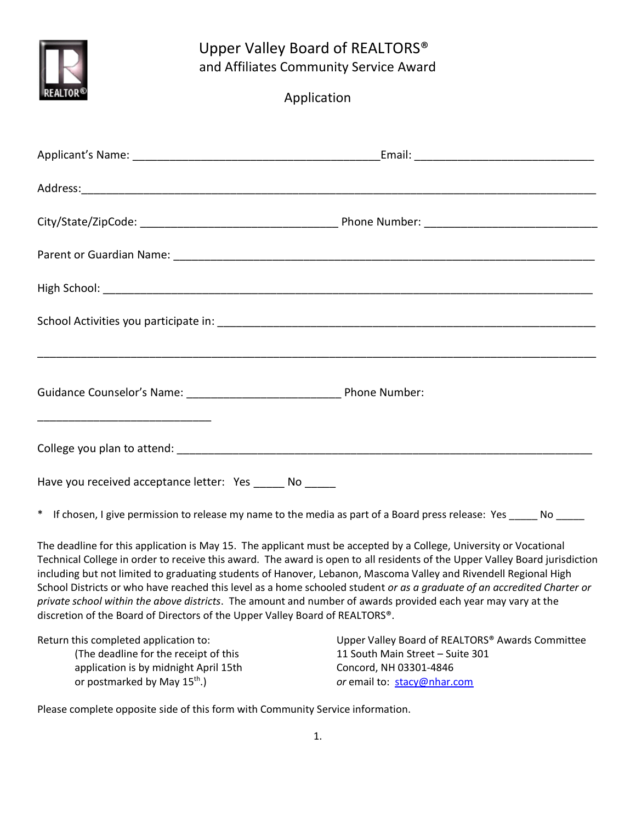

## Upper Valley Board of REALTORS® and Affiliates Community Service Award

| Application |
|-------------|
|             |

| Have you received acceptance letter: Yes _____ No _____ |                                                                                                                                                                                                                                                                                                                                                                      |
|---------------------------------------------------------|----------------------------------------------------------------------------------------------------------------------------------------------------------------------------------------------------------------------------------------------------------------------------------------------------------------------------------------------------------------------|
|                                                         | * If chosen, I give permission to release my name to the media as part of a Board press release: Yes _____ No _____                                                                                                                                                                                                                                                  |
|                                                         | The deadline for this application is May 15. The applicant must be accepted by a College, University or Vocational<br>Technical College in order to receive this award. The award is open to all residents of the Upper Valley Board jurisdiction<br>including but not limited to graduating students of Hanover Lebanon, Mascoma Valley and Rivendell Regional High |

including but not limited to graduating students of Hanover, Lebanon, Mascoma Valley and Rivendell Regional High School Districts or who have reached this level as a home schooled student *or as a graduate of an accredited Charter or private school within the above districts*. The amount and number of awards provided each year may vary at the discretion of the Board of Directors of the Upper Valley Board of REALTORS®.

| Return this completed application to:    | Upper Valley Board of REALTORS <sup>®</sup> Awards Committee |
|------------------------------------------|--------------------------------------------------------------|
| (The deadline for the receipt of this)   | 11 South Main Street - Suite 301                             |
| application is by midnight April 15th    | Concord, NH 03301-4846                                       |
| or postmarked by May 15 <sup>th</sup> .) | <i>or</i> email to: stacy@nhar.com                           |

Please complete opposite side of this form with Community Service information.